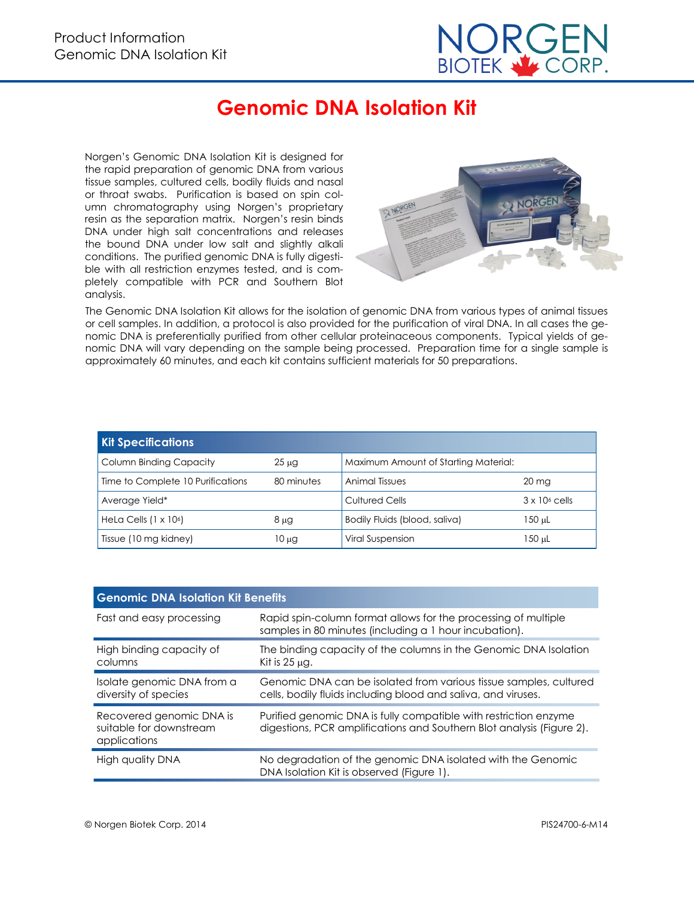

# **Genomic DNA Isolation Kit**

Norgen's Genomic DNA Isolation Kit is designed for the rapid preparation of genomic DNA from various tissue samples, cultured cells, bodily fluids and nasal or throat swabs. Purification is based on spin column chromatography using Norgen's proprietary resin as the separation matrix. Norgen's resin binds DNA under high salt concentrations and releases the bound DNA under low salt and slightly alkali conditions. The purified genomic DNA is fully digestible with all restriction enzymes tested, and is completely compatible with PCR and Southern Blot analysis.



The Genomic DNA Isolation Kit allows for the isolation of genomic DNA from various types of animal tissues or cell samples. In addition, a protocol is also provided for the purification of viral DNA. In all cases the genomic DNA is preferentially purified from other cellular proteinaceous components. Typical yields of genomic DNA will vary depending on the sample being processed. Preparation time for a single sample is approximately 60 minutes, and each kit contains sufficient materials for 50 preparations.

| <b>Kit Specifications</b>         |            |                                      |                       |  |
|-----------------------------------|------------|--------------------------------------|-----------------------|--|
| <b>Column Binding Capacity</b>    | $25 \mu g$ | Maximum Amount of Starting Material: |                       |  |
| Time to Complete 10 Purifications | 80 minutes | <b>Animal Tissues</b>                | $20 \text{ mg}$       |  |
| Average Yield*                    |            | <b>Cultured Cells</b>                | $3 \times 10^6$ cells |  |
| HeLa Cells $(1 \times 106)$       | $8 \mu$ g  | Bodily Fluids (blood, saliva)        | 150 µL                |  |
| Tissue (10 mg kidney)             | 10 µg      | <b>Viral Suspension</b>              | 150 uL                |  |

| <b>Genomic DNA Isolation Kit Benefits</b>                           |                                                                                                                                           |  |  |
|---------------------------------------------------------------------|-------------------------------------------------------------------------------------------------------------------------------------------|--|--|
| Fast and easy processing                                            | Rapid spin-column format allows for the processing of multiple<br>samples in 80 minutes (including a 1 hour incubation).                  |  |  |
| High binding capacity of<br>columns                                 | The binding capacity of the columns in the Genomic DNA Isolation<br>Kit is $25 \mu$ q.                                                    |  |  |
| Isolate genomic DNA from a<br>diversity of species                  | Genomic DNA can be isolated from various tissue samples, cultured<br>cells, bodily fluids including blood and saliva, and viruses.        |  |  |
| Recovered genomic DNA is<br>suitable for downstream<br>applications | Purified genomic DNA is fully compatible with restriction enzyme<br>digestions, PCR amplifications and Southern Blot analysis (Figure 2). |  |  |
| High quality DNA                                                    | No degradation of the genomic DNA isolated with the Genomic<br>DNA Isolation Kit is observed (Figure 1).                                  |  |  |